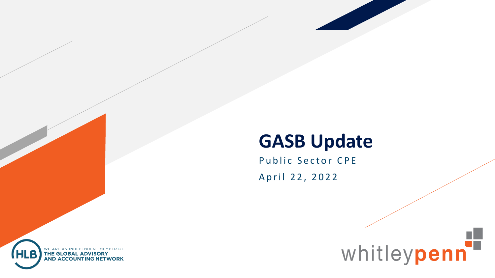#### **GASB Update**

whitleypenn

Public Sector CPE April 22, 2022

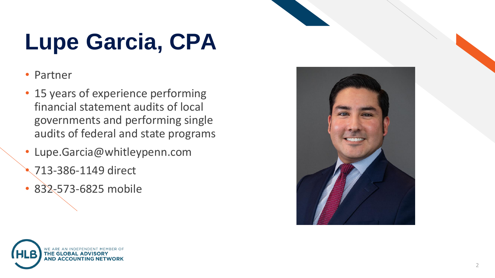# **Lupe Garcia, CPA**

- Partner
- 15 years of experience performing financial statement audits of local governments and performing single audits of federal and state programs
- Lupe.Garcia@whitleypenn.com
	- 713-386-1149 direct
- 832-573-6825 mobile

**THE GLOBAL AD AND ACCOUNTIL** 



2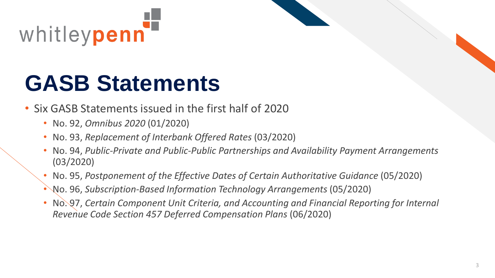

# **GASB Statements**

- Six GASB Statements issued in the first half of 2020
	- No. 92, *Omnibus 2020* (01/2020)
	- No. 93, *Replacement of Interbank Offered Rates* (03/2020)
	- No. 94, *Public-Private and Public-Public Partnerships and Availability Payment Arrangements* (03/2020)
	- No. 95, *Postponement of the Effective Dates of Certain Authoritative Guidance* (05/2020)
	- No. 96, *Subscription-Based Information Technology Arrangements* (05/2020)
	- No. 97, *Certain Component Unit Criteria, and Accounting and Financial Reporting for Internal Revenue Code Section 457 Deferred Compensation Plans* (06/2020)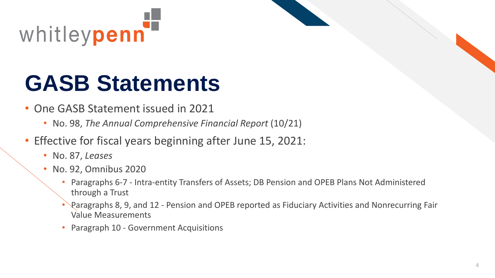

# **GASB Statements**

- One GASB Statement issued in 2021
	- No. 98, *The Annual Comprehensive Financial Report* (10/21)
- Effective for fiscal years beginning after June 15, 2021:
	- No. 87, *Leases*
	- No. 92, Omnibus 2020
		- Paragraphs 6-7 Intra-entity Transfers of Assets; DB Pension and OPEB Plans Not Administered through a Trust
		- Paragraphs 8, 9, and 12 Pension and OPEB reported as Fiduciary Activities and Nonrecurring Fair Value Measurements
		- Paragraph 10 Government Acquisitions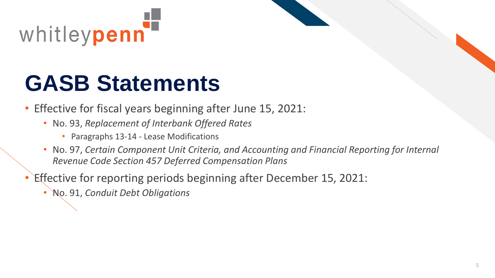

# **GASB Statements**

- Effective for fiscal years beginning after June 15, 2021:
	- No. 93, *Replacement of Interbank Offered Rates*
		- Paragraphs 13-14 Lease Modifications
	- No. 97, *Certain Component Unit Criteria, and Accounting and Financial Reporting for Internal Revenue Code Section 457 Deferred Compensation Plans*
- Effective for reporting periods beginning after December 15, 2021:
	- No. 91, *Conduit Debt Obligations*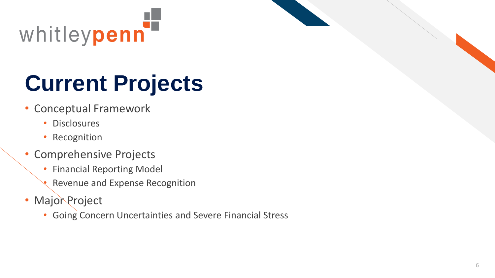

# **Current Projects**

- Conceptual Framework
	- Disclosures
	- Recognition
- Comprehensive Projects
	- Financial Reporting Model
	- Revenue and Expense Recognition
- Major Project
	- Going Concern Uncertainties and Severe Financial Stress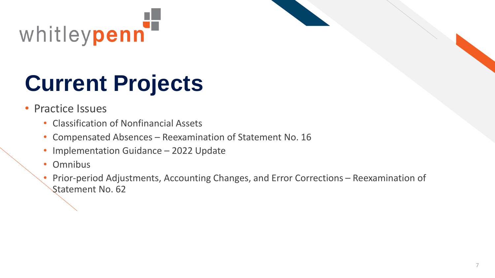

# **Current Projects**

- Practice Issues
	- Classification of Nonfinancial Assets
	- Compensated Absences Reexamination of Statement No. 16
	- Implementation Guidance 2022 Update
	- Omnibus
	- Prior-period Adjustments, Accounting Changes, and Error Corrections Reexamination of Statement No. 62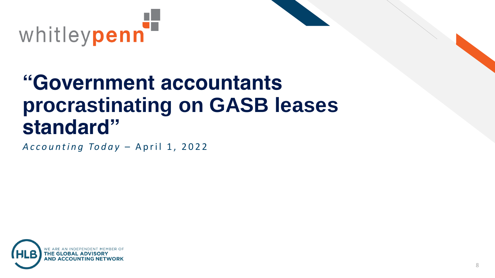

#### **"Government accountants procrastinating on GASB leases standard"**

*Accounting Today - April 1, 2022* 

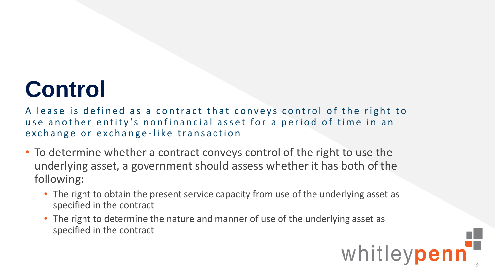## **Control**

A lease is defined as a contract that conveys control of the right to use another entity's nonfinancial asset for a period of time in an exchange or exchange-like transaction

- To determine whether a contract conveys control of the right to use the underlying asset, a government should assess whether it has both of the following:
	- The right to obtain the present service capacity from use of the underlying asset as specified in the contract
	- The right to determine the nature and manner of use of the underlying asset as specified in the contract

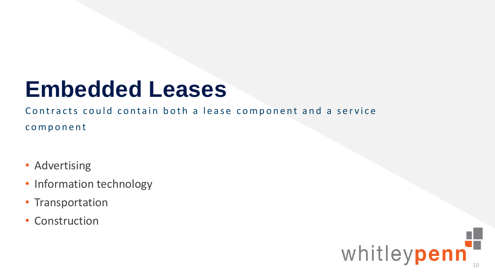## **Embedded Leases**

Contracts could contain both a lease component and a service c o m p o n e n t

- Advertising
- Information technology
- Transportation
- Construction

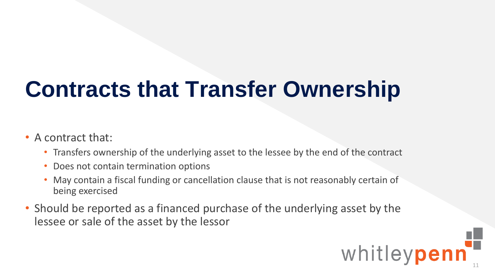# **Contracts that Transfer Ownership**

- A contract that:
	- Transfers ownership of the underlying asset to the lessee by the end of the contract
	- Does not contain termination options
	- May contain a fiscal funding or cancellation clause that is not reasonably certain of being exercised
- Should be reported as a financed purchase of the underlying asset by the lessee or sale of the asset by the lessor

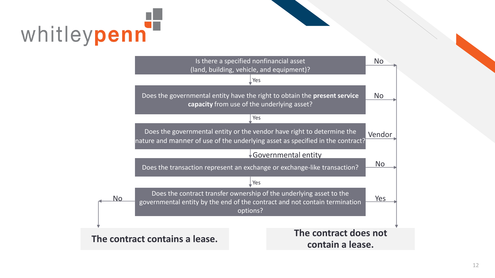

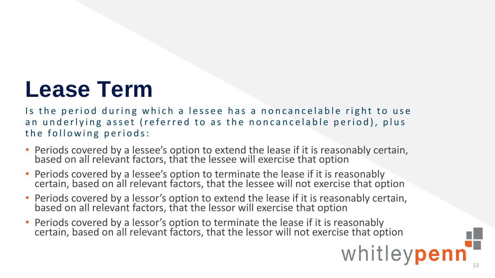## **Lease Term**

Is the period during which a lessee has a noncancelable right to use an underlying asset (referred to as the noncancelable period), plus the following periods:

- Periods covered by a lessee's option to extend the lease if it is reasonably certain, based on all relevant factors, that the lessee will exercise that option
- Periods covered by a lessee's option to terminate the lease if it is reasonably certain, based on all relevant factors, that the lessee will not exercise that option
- Periods covered by a lessor's option to extend the lease if it is reasonably certain, based on all relevant factors, that the lessor will exercise that option
- Periods covered by a lessor's option to terminate the lease if it is reasonably certain, based on all relevant factors, that the lessor will not exercise that option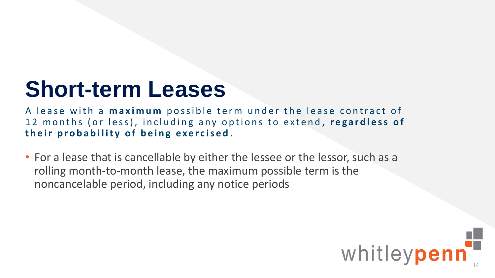## **Short-term Leases**

A lease with a **maximum** possible term under the lease contract of 12 months (or less), including any options to extend, regardless of their probability of being exercised.

• For a lease that is cancellable by either the lessee or the lessor, such as a rolling month-to-month lease, the maximum possible term is the noncancelable period, including any notice periods

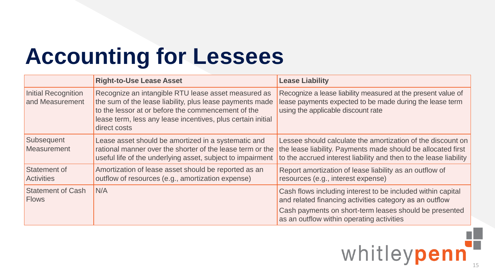|                                               | <b>Right-to-Use Lease Asset</b>                                                                                                                                                                                                                      | <b>Lease Liability</b>                                                                                                                                                                           |
|-----------------------------------------------|------------------------------------------------------------------------------------------------------------------------------------------------------------------------------------------------------------------------------------------------------|--------------------------------------------------------------------------------------------------------------------------------------------------------------------------------------------------|
| <b>Initial Recognition</b><br>and Measurement | Recognize an intangible RTU lease asset measured as<br>the sum of the lease liability, plus lease payments made<br>to the lessor at or before the commencement of the<br>lease term, less any lease incentives, plus certain initial<br>direct costs | Recognize a lease liability measured at the present value of<br>lease payments expected to be made during the lease term<br>using the applicable discount rate                                   |
| Subsequent<br>Measurement                     | Lease asset should be amortized in a systematic and<br>rational manner over the shorter of the lease term or the<br>useful life of the underlying asset, subject to impairment                                                                       | Lessee should calculate the amortization of the discount on<br>the lease liability. Payments made should be allocated first<br>to the accrued interest liability and then to the lease liability |
| Statement of<br><b>Activities</b>             | Amortization of lease asset should be reported as an<br>outflow of resources (e.g., amortization expense)                                                                                                                                            | Report amortization of lease liability as an outflow of<br>resources (e.g., interest expense)                                                                                                    |
| <b>Statement of Cash</b><br><b>Flows</b>      | N/A                                                                                                                                                                                                                                                  | Cash flows including interest to be included within capital<br>and related financing activities category as an outflow                                                                           |
|                                               |                                                                                                                                                                                                                                                      | Cash payments on short-term leases should be presented<br>as an outflow within operating activities                                                                                              |

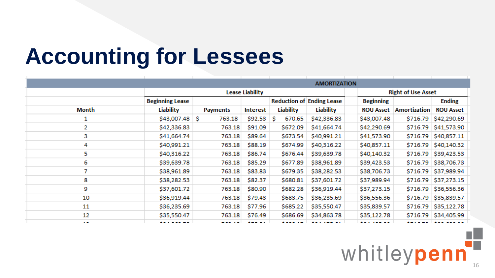|              |                        |              |                        |                  | <b>AMORTIZATION</b>              |                  |                           |                  |
|--------------|------------------------|--------------|------------------------|------------------|----------------------------------|------------------|---------------------------|------------------|
|              |                        |              | <b>Lease Liability</b> |                  |                                  |                  | <b>Right of Use Asset</b> |                  |
|              | <b>Beginning Lease</b> |              |                        |                  | <b>Reduction of Ending Lease</b> | <b>Beginning</b> |                           | <b>Ending</b>    |
| <b>Month</b> | Liability              | Payments     | Interest               | <b>Liability</b> | Liability                        | <b>ROU Asset</b> | Amortization              | <b>ROU Asset</b> |
|              | \$43,007.48            | 763.18<br>S. | \$92.53                | 670.65<br>s      | \$42,336.83                      | \$43,007.48      | \$716.79                  | \$42,290.69      |
| 2.           | \$42,336.83            | 763.18       | \$91.09                | \$672.09         | \$41,664.74                      | \$42,290.69      | \$716.79                  | \$41,573.90      |
| 3            | \$41,664.74            | 763.18       | \$89.64                | \$673.54         | \$40,991.21                      | \$41,573.90      | \$716.79                  | \$40,857.11      |
| 4            | \$40,991.21            | 763.18       | \$88.19                | \$674.99         | \$40,316.22                      | \$40,857.11      | \$716.79                  | \$40,140.32      |
| 5.           | \$40,316.22            | 763.18       | \$86.74                | \$676.44         | \$39,639.78                      | \$40,140.32      | \$716.79                  | \$39,423.53      |
| 6            | \$39,639.78            | 763.18       | \$85.29                | \$677.89         | \$38,961.89                      | \$39,423.53      | \$716.79                  | \$38,706.73      |
| 7            | \$38,961.89            | 763.18       | \$83.83                | \$679.35         | \$38,282.53                      | \$38,706.73      | \$716.79                  | \$37,989.94      |
| 8            | \$38,282.53            | 763.18       | \$82.37                | \$680.81         | \$37,601.72                      | \$37,989.94      | \$716.79                  | \$37,273.15      |
| 9            | \$37,601.72            | 763.18       | \$80.90                | \$682.28         | \$36,919.44                      | \$37,273.15      | \$716.79                  | \$36,556.36      |
| 10           | \$36,919.44            | 763.18       | \$79.43                | \$683.75         | \$36,235.69                      | \$36,556.36      | \$716.79                  | \$35,839.57      |
| 11           | \$36,235.69            | 763.18       | \$77.96                | \$685.22         | \$35,550.47                      | \$35,839.57      | \$716.79                  | \$35,122.78      |
| 12           | \$35,550.47            | 763.18       | \$76.49                | \$686.69         | \$34,863.78                      | \$35,122.78      |                           |                  |
| $\sim$       | .                      | ----         | --- --                 | .                |                                  | .                |                           | .                |

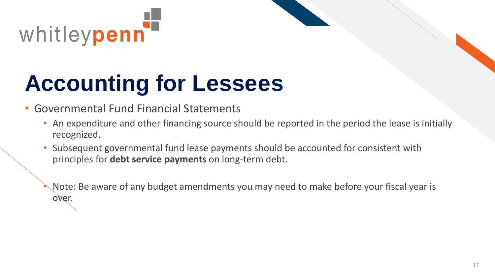

#### • Governmental Fund Financial Statements

- An expenditure and other financing source should be reported in the period the lease is initially recognized.
- Subsequent governmental fund lease payments should be accounted for consistent with principles for **debt service payments** on long-term debt.

• Note: Be aware of any budget amendments you may need to make before your fiscal year is over.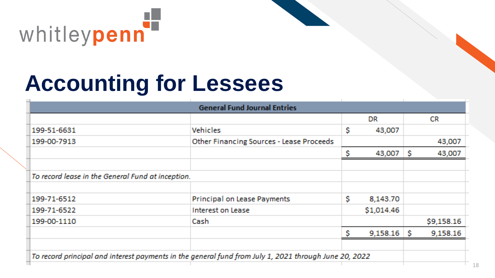

| <b>General Fund Journal Entries</b>                                                                   |                                                   |    |            |    |            |
|-------------------------------------------------------------------------------------------------------|---------------------------------------------------|----|------------|----|------------|
|                                                                                                       |                                                   |    | DR         |    | <b>CR</b>  |
| 199-51-6631                                                                                           | <b>Vehicles</b>                                   | \$ | 43,007     |    |            |
| 199-00-7913                                                                                           | <b>Other Financing Sources - Lease Proceeds</b>   |    |            |    | 43,007     |
|                                                                                                       |                                                   | \$ | 43,007     | S. | 43,007     |
|                                                                                                       |                                                   |    |            |    |            |
|                                                                                                       | To record lease in the General Fund at inception. |    |            |    |            |
|                                                                                                       |                                                   |    |            |    |            |
| 199-71-6512                                                                                           | Principal on Lease Payments                       | \$ | 8,143.70   |    |            |
| 199-71-6522                                                                                           | Interest on Lease                                 |    | \$1,014.46 |    |            |
| 199-00-1110                                                                                           | Cash.                                             |    |            |    | \$9,158.16 |
|                                                                                                       |                                                   | Ŝ  | 9,158.16   | S. | 9,158.16   |
|                                                                                                       |                                                   |    |            |    |            |
| To record principal and interest payments in the general fund from July 1, 2021 through June 20, 2022 |                                                   |    |            |    |            |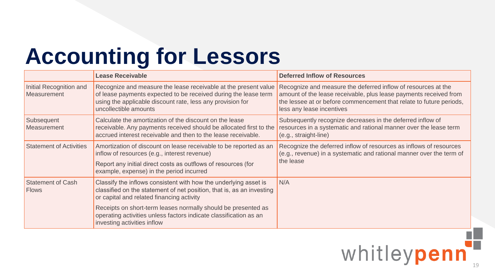|                                               | <b>Lease Receivable</b>                                                                                                                                                                                                        | <b>Deferred Inflow of Resources</b>                                                                                                                                                                                                    |
|-----------------------------------------------|--------------------------------------------------------------------------------------------------------------------------------------------------------------------------------------------------------------------------------|----------------------------------------------------------------------------------------------------------------------------------------------------------------------------------------------------------------------------------------|
| Initial Recognition and<br><b>Measurement</b> | Recognize and measure the lease receivable at the present value<br>of lease payments expected to be received during the lease term<br>using the applicable discount rate, less any provision for<br>uncollectible amounts      | Recognize and measure the deferred inflow of resources at the<br>amount of the lease receivable, plus lease payments received from<br>the lessee at or before commencement that relate to future periods,<br>less any lease incentives |
| Subsequent<br>Measurement                     | Calculate the amortization of the discount on the lease<br>receivable. Any payments received should be allocated first to the<br>accrued interest receivable and then to the lease receivable.                                 | Subsequently recognize decreases in the deferred inflow of<br>resources in a systematic and rational manner over the lease term<br>(e.g., straight-line)                                                                               |
| <b>Statement of Activities</b>                | Amortization of discount on lease receivable to be reported as an<br>inflow of resources (e.g., interest revenue)<br>Report any initial direct costs as outflows of resources (for<br>example, expense) in the period incurred | Recognize the deferred inflow of resources as inflows of resources<br>(e.g., revenue) in a systematic and rational manner over the term of<br>the lease                                                                                |
| <b>Statement of Cash</b><br><b>Flows</b>      | Classify the inflows consistent with how the underlying asset is<br>classified on the statement of net position, that is, as an investing<br>or capital and related financing activity                                         | N/A                                                                                                                                                                                                                                    |
|                                               | Receipts on short-term leases normally should be presented as<br>operating activities unless factors indicate classification as an<br>investing activities inflow                                                              |                                                                                                                                                                                                                                        |

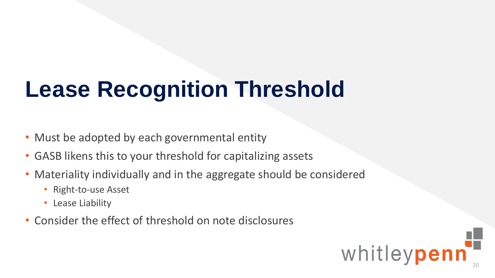# **Lease Recognition Threshold**

- Must be adopted by each governmental entity
- GASB likens this to your threshold for capitalizing assets
- Materiality individually and in the aggregate should be considered
	- Right-to-use Asset
	- Lease Liability
- Consider the effect of threshold on note disclosures

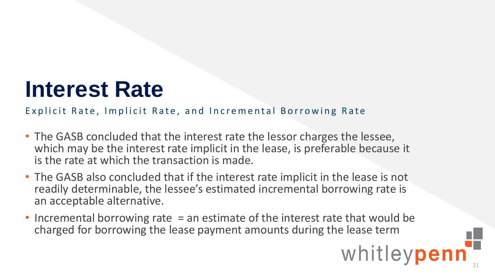#### **Interest Rate**

Explicit Rate, Implicit Rate, and Incremental Borrowing Rate

- The GASB concluded that the interest rate the lessor charges the lessee, which may be the interest rate implicit in the lease, is preferable because it is the rate at which the transaction is made.
- The GASB also concluded that if the interest rate implicit in the lease is not readily determinable, the lessee's estimated incremental borrowing rate is an acceptable alternative.
- Incremental borrowing rate = an estimate of the interest rate that would be charged for borrowing the lease payment amounts during the lease term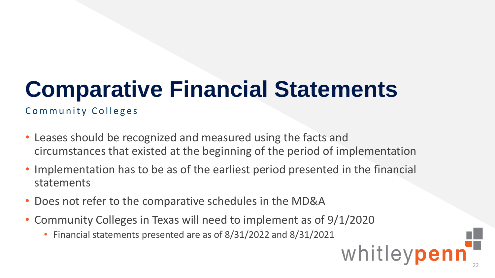# **Comparative Financial Statements**

Community Colleges

- Leases should be recognized and measured using the facts and circumstances that existed at the beginning of the period of implementation
- Implementation has to be as of the earliest period presented in the financial statements
- Does not refer to the comparative schedules in the MD&A
- Community Colleges in Texas will need to implement as of 9/1/2020
	- Financial statements presented are as of 8/31/2022 and 8/31/2021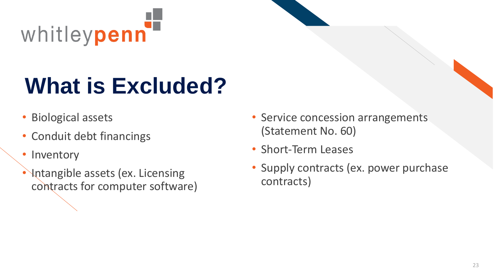

# **What is Excluded?**

- Biological assets
- Conduit debt financings
- Inventory
- Intangible assets (ex. Licensing contracts for computer software)
- Service concession arrangements (Statement No. 60)
- Short-Term Leases
- Supply contracts (ex. power purchase contracts)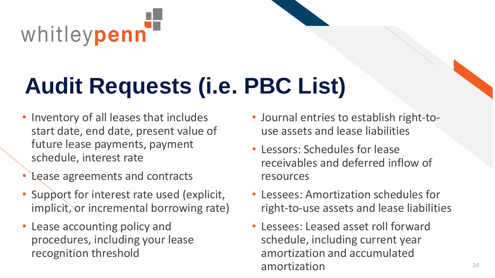

# **Audit Requests (i.e. PBC List)**

- Inventory of all leases that includes start date, end date, present value of future lease payments, payment schedule, interest rate
- Lease agreements and contracts
- Support for interest rate used (explicit, implicit, or incremental borrowing rate)
- Lease accounting policy and procedures, including your lease recognition threshold
- Journal entries to establish right-touse assets and lease liabilities
- Lessors: Schedules for lease receivables and deferred inflow of resources
- Lessees: Amortization schedules for right-to-use assets and lease liabilities
- Lessees: Leased asset roll forward schedule, including current year amortization and accumulated amortization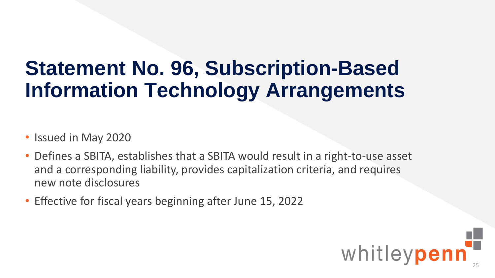#### **Statement No. 96,** *Subscription-Based Information Technology Arrangements*

- Issued in May 2020
- Defines a SBITA, establishes that a SBITA would result in a right-to-use asset and a corresponding liability, provides capitalization criteria, and requires new note disclosures
- Effective for fiscal years beginning after June 15, 2022

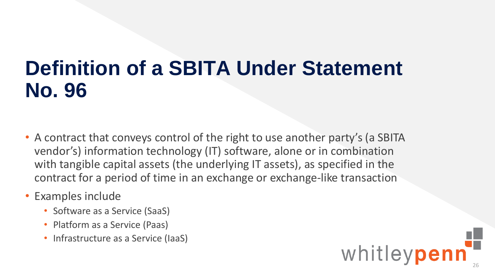#### **Definition of a SBITA Under Statement No. 96**

- A contract that conveys control of the right to use another party's (a SBITA vendor's) information technology (IT) software, alone or in combination with tangible capital assets (the underlying IT assets), as specified in the contract for a period of time in an exchange or exchange-like transaction
- Examples include
	- Software as a Service (SaaS)
	- Platform as a Service (Paas)
	- Infrastructure as a Service (IaaS)

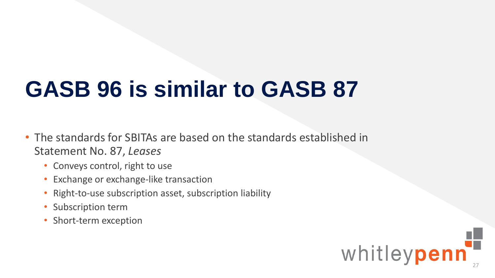# **GASB 96 is similar to GASB 87**

- The standards for SBITAs are based on the standards established in Statement No. 87, *Leases*
	- Conveys control, right to use
	- Exchange or exchange-like transaction
	- Right-to-use subscription asset, subscription liability
	- Subscription term
	- Short-term exception

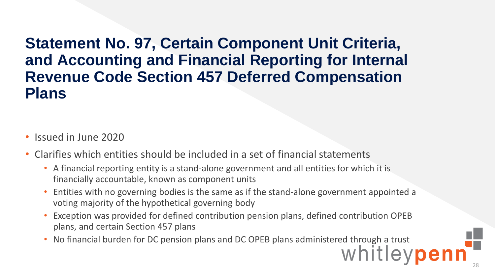#### **Statement No. 97,** *Certain Component Unit Criteria, and Accounting and Financial Reporting for Internal Revenue Code Section 457 Deferred Compensation Plans*

- Issued in June 2020
- Clarifies which entities should be included in a set of financial statements
	- A financial reporting entity is a stand-alone government and all entities for which it is financially accountable, known as component units
	- Entities with no governing bodies is the same as if the stand-alone government appointed a voting majority of the hypothetical governing body
	- Exception was provided for defined contribution pension plans, defined contribution OPEB plans, and certain Section 457 plans
	- No financial burden for DC pension plans and DC OPEB plans administered through a trust<br>
	Whitlevoen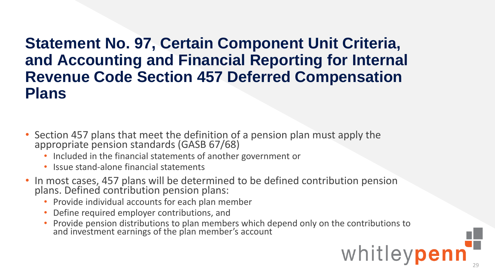#### **Statement No. 97,** *Certain Component Unit Criteria, and Accounting and Financial Reporting for Internal Revenue Code Section 457 Deferred Compensation Plans*

- Section 457 plans that meet the definition of a pension plan must apply the appropriate pension standards (GASB 67/68)
	- Included in the financial statements of another government or
	- Issue stand-alone financial statements
- In most cases, 457 plans will be determined to be defined contribution pension plans. Defined contribution pension plans:
	- Provide individual accounts for each plan member
	- Define required employer contributions, and
	- Provide pension distributions to plan members which depend only on the contributions to and investment earnings of the plan member's account

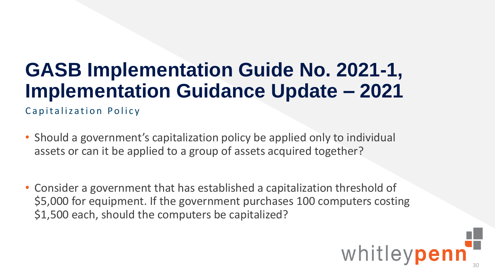#### **GASB Implementation Guide No. 2021-1, Implementation Guidance Update – 2021**

Capitalization Policy

- Should a government's capitalization policy be applied only to individual assets or can it be applied to a group of assets acquired together?
- Consider a government that has established a capitalization threshold of \$5,000 for equipment. If the government purchases 100 computers costing \$1,500 each, should the computers be capitalized?

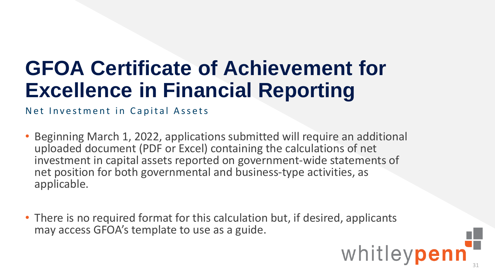#### **GFOA Certificate of Achievement for Excellence in Financial Reporting**

Net Investment in Capital Assets

- Beginning March 1, 2022, applications submitted will require an additional uploaded document (PDF or Excel) containing the calculations of net investment in capital assets reported on government-wide statements of net position for both governmental and business-type activities, as applicable.
- There is no required format for this calculation but, if desired, applicants may access GFOA's template to use as a guide.